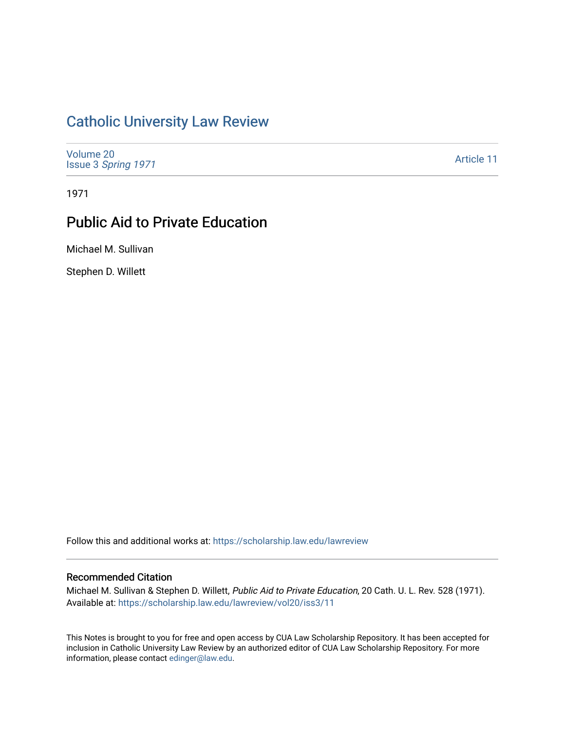## [Catholic University Law Review](https://scholarship.law.edu/lawreview)

[Volume 20](https://scholarship.law.edu/lawreview/vol20) Issue 3 [Spring 1971](https://scholarship.law.edu/lawreview/vol20/iss3) 

[Article 11](https://scholarship.law.edu/lawreview/vol20/iss3/11) 

1971

# Public Aid to Private Education

Michael M. Sullivan

Stephen D. Willett

Follow this and additional works at: [https://scholarship.law.edu/lawreview](https://scholarship.law.edu/lawreview?utm_source=scholarship.law.edu%2Flawreview%2Fvol20%2Fiss3%2F11&utm_medium=PDF&utm_campaign=PDFCoverPages)

### Recommended Citation

Michael M. Sullivan & Stephen D. Willett, Public Aid to Private Education, 20 Cath. U. L. Rev. 528 (1971). Available at: [https://scholarship.law.edu/lawreview/vol20/iss3/11](https://scholarship.law.edu/lawreview/vol20/iss3/11?utm_source=scholarship.law.edu%2Flawreview%2Fvol20%2Fiss3%2F11&utm_medium=PDF&utm_campaign=PDFCoverPages) 

This Notes is brought to you for free and open access by CUA Law Scholarship Repository. It has been accepted for inclusion in Catholic University Law Review by an authorized editor of CUA Law Scholarship Repository. For more information, please contact [edinger@law.edu.](mailto:edinger@law.edu)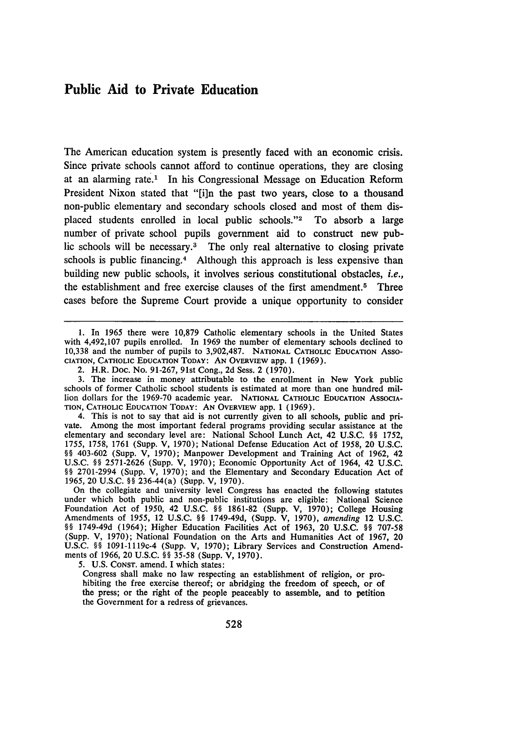### Public Aid to Private Education

The American education system is presently faced with an economic crisis. Since private schools cannot afford to continue operations, they are closing at an alarming rate.' In his Congressional Message on Education Reform President Nixon stated that **"[i]n** the past two years, close to a thousand non-public elementary and secondary schools closed and most of them displaced students enrolled in local public schools."<sup>2</sup> To absorb a large number of private school pupils government aid to construct new public schools will be necessary.<sup>3</sup> The only real alternative to closing private schools is public financing.<sup>4</sup> Although this approach is less expensive than building new public schools, it involves serious constitutional obstacles, *i.e.,* the establishment and free exercise clauses of the first amendment. 5 Three cases before the Supreme Court provide a unique opportunity to consider

4. This is not to say that aid is not currently given to all schools, public and private. Among the most important federal programs providing secular assistance at the elementary and secondary level are: National School Lunch Act, 42 U.S.C. §§ 1752, 1755, 1758, 1761 (Supp. V, 1970); National Defense Education Act of 1958, 20 U.S.C. **§§** 403-602 (Supp. V, 1970); Manpower Development and Training Act of 1962, 42 **U.S.C. §§** 2571-2626 (Supp. V, 1970); Economic Opportunity Act of 1964, 42 U.S.C. **§§** 2701-2994 (Supp. V, 1970); and the Elementary and Secondary Education Act of 1965, 20 U.S.C. **§§** 236-44(a) (Supp. V, 1970).

On the collegiate and university level Congress has enacted the following statutes under which both public and non-public institutions are eligible: National Science Foundation Act of **1950,** 42 **U.S.C. §§** 1861-82 (Supp. V, 1970); College Housing Amendments of 1955, 12 U.S.C. **§§** 1749-49d, (Supp. V, 1970), *amending* 12 U.S.C. **§§** 1749-49d (1964); Higher Education Facilities Act of 1963, 20 U.S.C. **§§** 707-58 (Supp. V, 1970); National Foundation on the Arts and Humanities Act of 1967, 20 U.S.C. **§§** 1091-1119c-4 (Supp. V, 1970); Library Services and Construction Amendments of 1966, 20 U.S.C. **§§** 35-58 (Supp. V, 1970).

5. U.S. **CONST.** amend. I which states:

Congress shall make no law respecting an establishment of religion, or prohibiting the free exercise thereof; or abridging the freedom of speech, or of the press; or the right of the people peaceably to assemble, and to petition the Government for a redress of grievances.

<sup>1.</sup> In 1965 there were 10,879 Catholic elementary schools in the United States with 4,492,107 pupils enrolled. In 1969 the number of elementary schools declined to 10,338 and the number of pupils to 3,902,487. NATIONAL CATHOLIC EDUCATION Asso-**CIATION,** CATHOLIC EDUCATION TODAY: **AN** OvERvIEw app. 1 (1969).

<sup>2.</sup> H.R. Doc. No. 91-267, 91st Cong., 2d Sess. 2 (1970).

**<sup>3.</sup>** The increase in money attributable to the enrollment in New York public schools of former Catholic school students is estimated at more than one hundred million dollars for the 1969-70 academic year. NATIONAL CATHOLIC EDUCATION ASSOCIA-TION, CATHOLIC EDUCATION TODAY: AN OVERVIEw app. **1** (1969).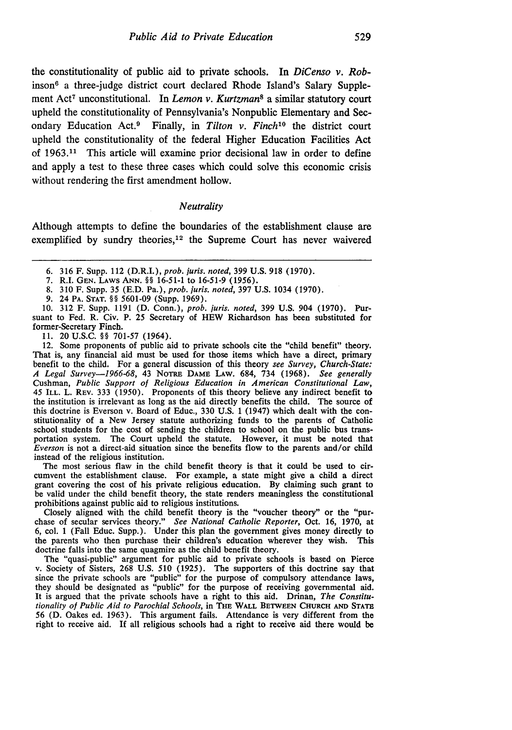the constitutionality of public aid to private schools. In *DiCenso v. Rob*inson 6 a three-judge district court declared Rhode Island's Salary Supplement Act<sup>7</sup> unconstitutional. In *Lemon v. Kurtzman*<sup>8</sup> a similar statutory court upheld the constitutionality of Pennsylvania's Nonpublic Elementary and Secondary Education Act.9 Finally, in *Tilton v. Finch'0* the district court upheld the constitutionality of the federal Higher Education Facilities Act of 1963.11 This article will examine prior decisional law in order to define and apply a test to these three cases which could solve this economic crisis without rendering the first amendment hollow.

#### *Neutrality*

Although attempts to define the boundaries of the establishment clause are exemplified by sundry theories, $12$  the Supreme Court has never waivered

7. R.I. **GEN.** LAWS **ANN.** §§ 16-51-1 to 16-51-9 (1956).

10. 312 F. Supp. 1191 (D. Conn.), prob. juris. noted, 399 **U.S.** 904 (1970). Pursuant to Fed. R. Civ. P. 25 Secretary of HEW Richardson has been substituted for former-Secretary Finch.

**11.** 20 U.S.C. §§ 701-57 (1964).

12. Some proponents of public aid to private schools cite the "child benefit" theory. That is, any financial aid must be used for those items which have a direct, primary benefit to the child. For a general discussion of this theory see Survey, Church-State: A Legal Survey-1966-68, 43 NoTRE **DAME LAw.** 684, 734 (1968). See generally Cushman, Public Support of Religious Education in American Constitutional Law, 45 ILL. L. REV. 333 (1950). Proponents of this theory believe any indirect benefit to the institution is irrelevant as long as the aid directly benefits the child. The source of this doctrine is Everson v. Board of Educ., 330 U.S. 1 (1947) which dealt with the con- stitutionality of a New Jersey statute authorizing funds to the parents of Catholic school students for the cost of sending the children to school on the public bus transportation system. The Court upheld the statute. However, it must be noted that Everson is not a direct-aid situation since the benefits flow to the parents and/or child instead of the religious institution.

The most serious flaw in the child benefit theory is that it could be used to circumvent the establishment clause. For example, a state might give a child a direct grant covering the cost of his private religious education. By claiming such grant to be valid under the child benefit theory, the state renders meaningless the constitutional prohibitions against public aid to religious institutions.

Closely aligned with the child benefit theory is the "voucher theory" or the "purchase of secular services theory." See National Catholic Reporter, Oct. 16, 1970, at 6, col. 1 (Fall Educ. Supp.). Under this plan the government gives money directly to the parents who then purchase their children's education wherever they wish. This doctrine falls into the same quagmire as the child benefit theory.

The "quasi-public" argument for public aid to private schools is based on Pierce v. Society of Sisters, 268 U.S. 510 (1925). The supporters of this doctrine say that since the private schools are "public" for the purpose of compulsory attendance laws, they should be designated as "public" for the purpose of receiving governmental aid. It is argued that the private schools have a right to this aid. Drinan, The Constitutionality of Public Aid to Parochial Schools, in **THE WALL BETWEEN CHURCH AND STATE** 56 (D. Oakes ed. 1963). This argument fails. Attendance is very different from the right to receive aid. If all religious schools had a right to receive aid there would be

<sup>6. 316</sup> F. Supp. 112 (D.R.I.), prob. juris. noted, 399 U.S. 918 (1970).

<sup>8. 310</sup> F. Supp. 35 (E.D. Pa.), prob. juris. noted, 397 U.S. 1034 (1970).

**<sup>9.</sup>** 24 PA. **STAT.** §§ 5601-09 (Supp. 1969).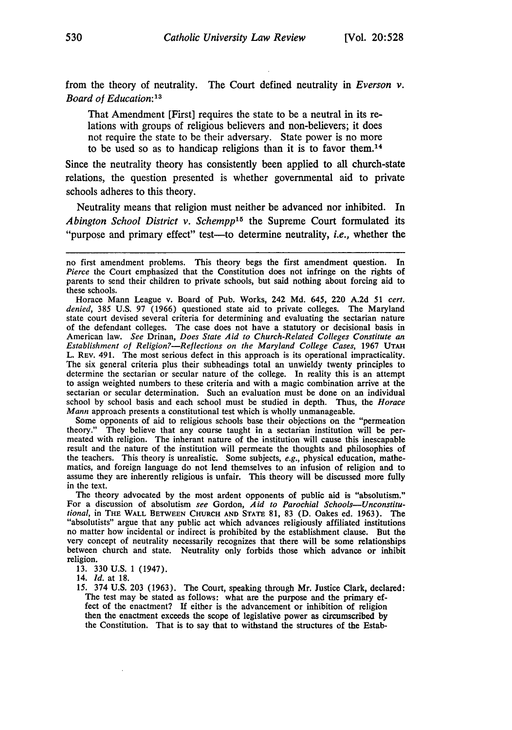from the theory of neutrality. The Court defined neutrality in *Everson v. Board of Education:13*

That Amendment [First] requires the state to be a neutral in its relations with groups of religious believers and non-believers; it does not require the state to be their adversary. State power is no more to be used so as to handicap religions than it is to favor them.<sup>14</sup>

Since the neutrality theory has consistently been applied to all church-state relations, the question presented is whether governmental aid to private schools adheres to this theory.

Neutrality means that religion must neither be advanced nor inhibited. In *Abington School District v. Schempp<sup>15</sup>* the Supreme Court formulated its "purpose and primary effect" test-to determine neutrality, *i.e.*, whether the

Horace Mann League v. Board of Pub. Works, 242 Md. 645, 220 A.2d 51 *cert. denied,* 385 U.S. 97 (1966) questioned state aid to private colleges. The Maryland state court devised several criteria for determining and evaluating the sectarian nature of the defendant colleges. The case does not have a statutory or decisional basis in American law. *See* Drinan, *Does State Aid to Church-Related Colleges Constitute an Establishment* of *Religion?-Reflections on the Maryland College Cases,* 1967 **UTAH** L. REV. 491. The most serious defect in this approach is its operational impracticality. The six general criteria plus their subheadings total an unwieldy twenty principles to determine the sectarian or secular nature of the college. In reality this is an attempt to assign weighted numbers to these criteria and with a magic combination arrive at the sectarian or secular determination. Such an evaluation must be done on an individual school by school basis and each school must be studied in depth. Thus, the *Horace Mann* approach presents a constitutional test which is wholly unmanageable.

Some opponents of aid to religious schools base their objections on the "permeation theory." They believe that any course taught in a sectarian institution will be permeated with religion. The inherant nature of the institution will cause this inescapable result and the nature of the institution will permeate the thoughts and philosophies of the teachers. This theory is unrealistic. Some subjects, *e.g.,* physical education, mathematics, and foreign language do not lend themselves to an infusion of religion and to assume they are inherently religious is unfair. This theory will be discussed more fully in the text.

The theory advocated by the most ardent opponents of public aid is "absolutism." For a discussion of absolutism *see* Gordon, *Aid to Parochial Schools-Unconstitutional*, in THE WALL BETWEEN CHURCH AND STATE 81, 83 (D. Oakes ed. 1963). The "absolutists" argue that any public act which advances religiously affiliated institutions no matter how incidental or indirect is prohibited b very concept of neutrality necessarily recognizes that there will be some relationships between church and state. Neutrality only forbids those which advance or inhibit religion.

13. 330 U.S. 1 (1947).

14. *Id.* at 18.

15. 374 U.S. 203 (1963). The Court, speaking through Mr. Justice Clark, declared: The test may be stated as follows: what are the purpose and the primary effect of the enactment? If either is the advancement or inhibition of religion then the enactment exceeds the scope of legislative power as circumscribed **by** the Constitution. That is to say that to withstand the structures of the Estab-

no first amendment problems. This theory begs the first amendment question. In *Pierce* the Court emphasized that the Constitution does not infringe on the rights of parents to send their children to private schools, but said nothing about forcing aid to these schools.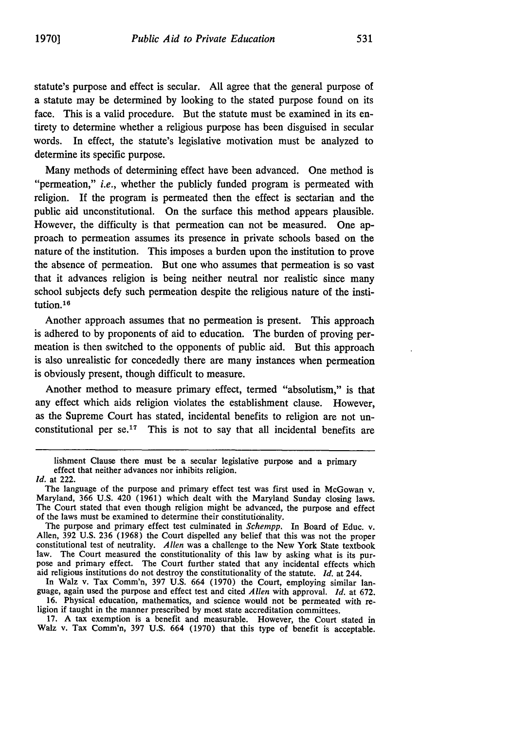statute's purpose and effect is secular. All agree that the general purpose of a statute may be determined by looking to the stated purpose found on its face. This is a valid procedure. But the statute must be examined in its entirety to determine whether a religious purpose has been disguised in secular words. In effect, the statute's legislative motivation must be analyzed to determine its specific purpose.

Many methods of determining effect have been advanced. One method is "permeation," *i.e.,* whether the publicly funded program is permeated with religion. If the program is permeated then the effect is sectarian and the public aid unconstitutional. On the surface this method appears plausible. However, the difficulty is that permeation can not be measured. One approach to permeation assumes its presence in private schools based on the nature of the institution. This imposes a burden upon the institution to prove the absence of permeation. But one who assumes that permeation is so vast that it advances religion is being neither neutral nor realistic since many school subjects defy such permeation despite the religious nature of the institution.<sup>16</sup>

Another approach assumes that no permeation is present. This approach is adhered to by proponents of aid to education. The burden of proving permeation is then switched to the opponents of public aid. But this approach is also unrealistic for concededly there are many instances when permeation is obviously present, though difficult to measure.

Another method to measure primary effect, termed "absolutism," is that any effect which aids religion violates the establishment clause. However, as the Supreme Court has stated, incidental benefits to religion are not unconstitutional per se.<sup>17</sup> This is not to say that all incidental benefits are

The purpose and primary effect test culminated in *Schempp.* In Board of Educ. v. Allen, 392 U.S. 236 (1968) the Court dispelled any belief that this was not the proper constitutional test of neutrality. *Allen* was a challenge to the New York State textbook law. The Court measured the constitutionality of this law by asking what is its purpose and primary effect. The Court further stated that any incidental effects which aid religious institutions do not destroy the constitutionality of the statute. *Id.* at 244.

In Walz v. Tax Comm'n, **397** U.S. 664 (1970) the Court, employing similar language, again used the purpose and effect test and cited *Allen* with approval. *Id.* at 672. 16. Physical education, mathematics, and science would not be permeated with religion if taught in the manner prescribed **by** most state accreditation committees.

**17.** A tax exemption is a benefit and measurable. However, the Court stated in Walz v. Tax Comm'n, **397** U.S. 664 (1970) that this type of benefit is acceptable.

lishment Clause there must be a secular legislative purpose and a primary effect that neither advances nor inhibits religion.

*Id.* at 222.<br>The language of the purpose and primary effect test was first used in McGowan v. Maryland, 366 U.S. 420 (1961) which dealt with the Maryland Sunday closing laws. The Court stated that even though religion might be advanced, the purpose and effect of the laws must be examined to determine their constitutionality.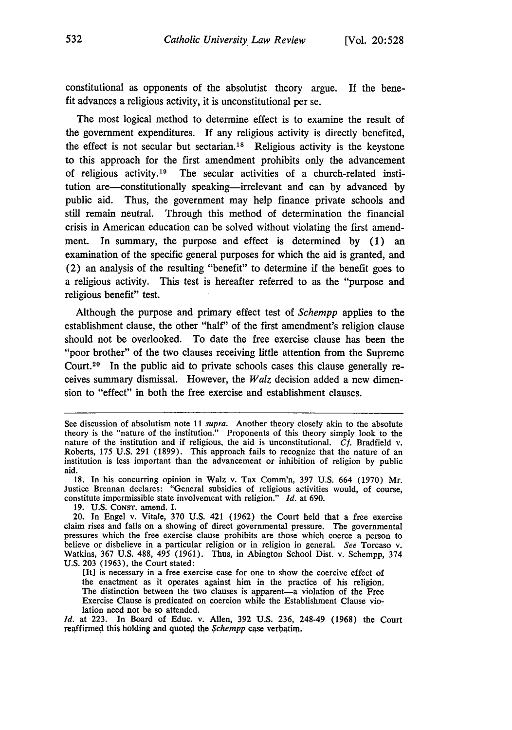constitutional as opponents of the absolutist theory argue. If the benefit advances a religious activity, it is unconstitutional per se.

The most logical method to determine effect is to examine the result of the government expenditures. If any religious activity is directly benefited, the effect is not secular but sectarian.<sup>18</sup> Religious activity is the keystone to this approach for the first amendment prohibits only the advancement of religious activity.<sup>19</sup> The secular activities of a church-related institution are-constitutionally speaking-irrelevant and can by advanced by public aid. Thus, the government may help finance private schools and still remain neutral. Through this method of determination the financial crisis in American education can be solved without violating the first amendment. In summary, the purpose and effect is determined by (1) an examination of the specific general purposes for which the aid is granted, and (2) an analysis of the resulting "benefit" to determine if the benefit goes to a religious activity. This test is hereafter referred to as the "purpose and religious benefit" test.

Although the purpose and primary effect test of *Schempp* applies to the establishment clause, the other "half" of the first amendment's religion clause should not be overlooked. To date the free exercise clause has been the "poor brother" of the two clauses receiving little attention from the Supreme Court.20 In the public aid to private schools cases this clause generally receives summary dismissal. However, the *Walz* decision added a new dimension to "effect" in both the free exercise and establishment clauses.

18. In his concurring opinion in Walz v. Tax Comm'n, 397 U.S. 664 (1970) Mr. Justice Brennan declares: "General subsidies of religious activities would, of course, constitute impermissible state involvement with religion." *Id.* at 690.

19. U.S. CONST. amend. I.

[It] is necessary in a free exercise case for one to show the coercive effect of the enactment as it operates against him in the practice of his religion. The distinction between the two clauses is apparent-a violation of the Free Exercise Clause is predicated on coercion while the Establishment Clause violation need not be so attended.

*Id.* at 223. In Board of Educ. v. Allen, 392 U.S. 236, 248-49 (1968) the Court reaffirmed this holding and quoted **the** *Schempp* case verbatim,

See discussion of absolutism note 11 *supra.* Another theory closely akin to the absolute theory is the "nature of the institution." Proponents of this theory simply look to the nature of the institution and if religious, the aid is unconstitutional. *Cf.* Bradfield v.<br>Roberts, 175 U.S. 291 (1899). This approach fails to recognize that the nature of an institution is less important than the advancement or inhibition of religion by public aid.

<sup>20.</sup> In Engel v. Vitale, 370 U.S. 421 (1962) the Court held that a free exercise claim rises and falls on a showing of direct governmental pressure. The governmental pressures which the free exercise clause prohibits are those which coerce a person to believe or disbelieve in a particular religion or in religion in general. *See* Torcaso v. Watkins, 367 U.S. 488, 495 (1961). Thus, in Abington School Dist. v. Schempp, 374 U.S. 203 (1963), the Court stated: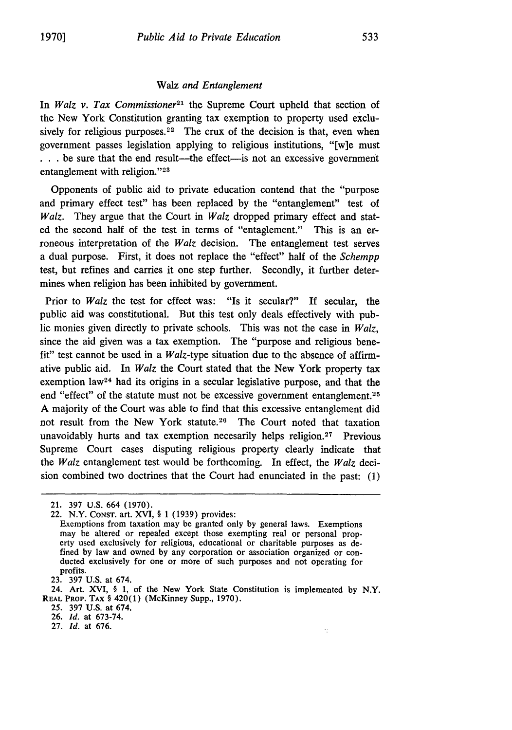#### Walz *and Entanglement*

In *Walz v. Tax Commissioner2'* the Supreme Court upheld that section of the New York Constitution granting tax exemption to property used exclusively for religious purposes.<sup>22</sup> The crux of the decision is that, even when government passes legislation applying to religious institutions, "[w]e must **...** be sure that the end result—the effect—is not an excessive government entanglement with religion."<sup>23</sup>

Opponents of public aid to private education contend that the "purpose and primary effect test" has been replaced by the "entanglement" test of *Walz.* They argue that the Court in *Walz* dropped primary effect and stated the second half of the test in terms of "entaglement." This is an erroneous interpretation of the *Walz* decision. The entanglement test serves a dual purpose. First, it does not replace the "effect" half of the *Schempp* test, but refines and carries it one step further. Secondly, it further determines when religion has been inhibited by government.

Prior to *Walz* the test for effect was: "Is it secular?" If secular, the public aid was constitutional. But this test only deals effectively with public monies given directly to private schools. This was not the case in *Walz,* since the aid given was a tax exemption. The "purpose and religious benefit" test cannot be used in a *Walz-type* situation due to the absence of affirmative public aid. In *Walz* the Court stated that the New York property tax exemption law24 had its origins in a secular legislative purpose, and that the end "effect" of the statute must not be excessive government entanglement.<sup>25</sup> A majority of the Court was able to find that this excessive entanglement did not result from the New York statute.<sup>26</sup> The Court noted that taxation unavoidably hurts and tax exemption necesarily helps religion.<sup>27</sup> Previous Supreme Court cases disputing religious property clearly indicate that the *Walz* entanglement test would be forthcoming. In effect, the *Walz* decision combined two doctrines that the Court had enunciated in the past: (1)

25. 397 U.S. at 674.

<sup>21. 397</sup> U.S. 664 (1970).

<sup>22.</sup> N.Y. CONsT. art. XVI, § 1 (1939) provides:

Exemptions from taxation may be granted only by general laws. Exemptions may be altered or repealed except those exempting real or personal property used exclusively for religious, educational or charitable purposes as defined **by** law and owned **by** any corporation or association organized or con- ducted exclusively for one or more of such purposes and not operating for profits.

<sup>23. 397</sup> U.S. at 674.

<sup>24.</sup> Art. XVI, § 1, of the New York State Constitution is implemented by N.Y. REAL **PROP. TAX** § 420(1) (McKinney Supp., 1970).

<sup>26.</sup> *Id.* at 673-74.

<sup>27.</sup> *Id.* at 676.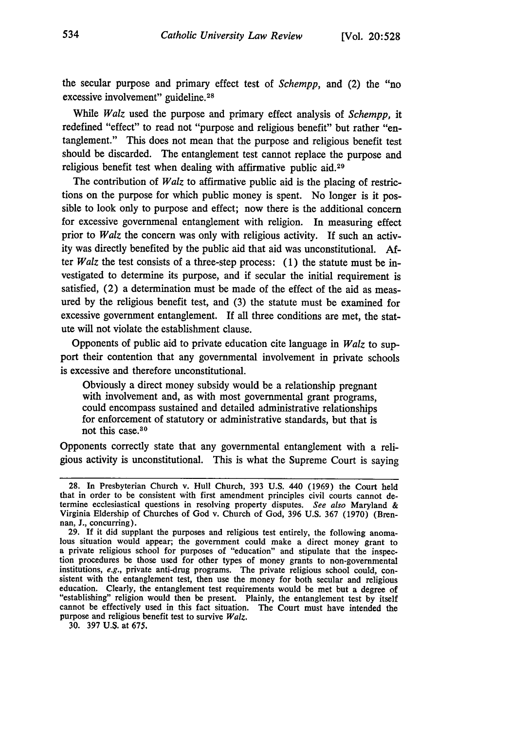the secular purpose and primary effect test of *Schempp,* and (2) the "no excessive involvement" guideline. <sup>28</sup>

While *Walz* used the purpose and primary effect analysis of *Schempp,* it redefined "effect" to read not "purpose and religious benefit" but rather "entanglement." This does not mean that the purpose and religious benefit test should be discarded. The entanglement test cannot replace the purpose and religious benefit test when dealing with affirmative public aid. <sup>29</sup>

The contribution of *Walz* to affirmative public aid is the placing of restrictions on the purpose for which public money is spent. No longer is it possible to look only to purpose and effect; now there is the additional concern for excessive governmenal entanglement with religion. In measuring effect prior to *Walz* the concern was only with religious activity. **If** such an activity was directly benefited by the public aid that aid was unconstitutional. **Af**ter *Walz* the test consists of a three-step process: (1) the statute must be investigated to determine its purpose, and if secular the initial requirement is satisfied, (2) a determination must be made of the effect of the aid as measured by the religious benefit test, and (3) the statute must be examined for excessive government entanglement. **If** all three conditions are met, the statute will not violate the establishment clause.

Opponents of public aid to private education cite language in *Walz* to support their contention that any governmental involvement in private schools is excessive and therefore unconstitutional.

Obviously a direct money subsidy would be a relationship pregnant with involvement and, as with most governmental grant programs, could encompass sustained and detailed administrative relationships for enforcement of statutory or administrative standards, but that is not this case.80

Opponents correctly state that any governmental entanglement with a religious activity is unconstitutional. This is what the Supreme Court is saying

30. 397 U.S. at 675,

<sup>28.</sup> In Presbyterian Church v. Hull Church, 393 U.S. 440 (1969) the Court held that in order to be consistent with first amendment principles civil courts cannot determine ecclesiastical questions in resolving property disputes. See also Maryland & Virginia Eldership of Churches of God v. Church of God, 396 U.S. 367 (1970) (Brennan, J., concurring).

<sup>29.</sup> If it did supplant the purposes and religious test entirely, the following anomalous situation would appear; the government could make a direct money grant to a private religious school for purposes of "education" and tion procedures be those used for other types of money grants to non-governmental institutions,  $e.g.,$  private anti-drug programs. The private religious school could, consistent with the entanglement test, then use the money for both secular and religious education. Clearly, the entanglement test requir "establishing" religion would then be present. Plainly, the entanglement test by itself cannot be effectively used in this fact situation. The Court must have intended the purpose and religious benefit test to survive *Walz.*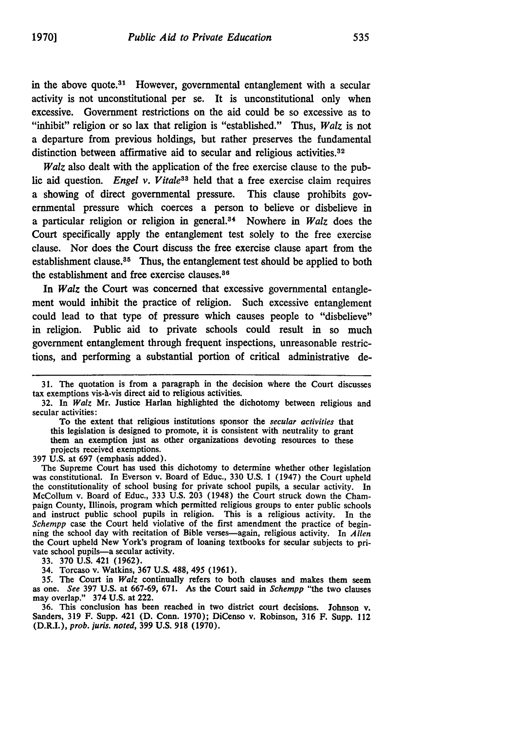in the above quote.<sup>31</sup> However, governmental entanglement with a secular activity is not unconstitutional per se. It is unconstitutional only when excessive. Government restrictions on the aid could be so excessive as to "inhibit" religion or so lax that religion is "established." Thus, *Walz* is not a departure from previous holdings, but rather preserves the fundamental distinction between affirmative aid to secular and religious activities.<sup>32</sup>

*Walz* also dealt with the application of the free exercise clause to the public aid question. *Engel v. Vitale33* held that a free exercise claim requires a showing of direct governmental pressure. This clause prohibits governmental pressure which coerces a person to believe or disbelieve in a particular religion or religion in general.34 Nowhere in *Walz* does the Court specifically apply the entanglement test solely to the free exercise clause. Nor does the Court discuss the free exercise clause apart from the establishment clause.35 Thus, the entanglement test should be applied to both the establishment and free exercise clauses.<sup>36</sup>

In *Walz* the Court was concerned that excessive governmental entanglement would inhibit the practice of religion. Such excessive entanglement could lead to that type of pressure which causes people to "disbelieve" in religion. Public aid to private schools could result in so much government entanglement through frequent inspections, unreasonable restrictions, and performing a substantial portion of critical administrative de-

To the extent that religious institutions sponsor the *secular activities* that this legislation is designed to promote, it is consistent with neutrality to grant them an exemption just as other organizations devoting resources to these projects received exemptions.

397 U.S. at 697 (emphasis added).

The Supreme Court has used this dichotomy to determine whether other legislation was constitutional. In Everson v. Board of Educ., 330 U.S. 1 (1947) the Court upheld the constitutionality of school busing for private school pupils, a secular activity. In McCollum v. Board of Educ., 333 U.S. **203** (1948) the Court struck down the Champaign County, Illinois, program which permitted religious groups to enter public schools and instruct public school pupils in religion. This is a religious activity. In the *Schempp* case the Court held violative of the first amendment the practice of beginning the school day with recitation of Bible verses-again, religious activity. In *Allen* the Court upheld New York's program of loaning textbooks for secular subjects to private school pupils-a secular activity.

**33. 370 U.S.** 421 **(1962).**

34. Torcaso v. Watkins, **367 U.S. 488,** 495 **(1961).**

**35.** The Court in *Walz* continually refers to both clauses and makes them seem as one. *See* **397 U.S.** at **667-69, 671.** As the Court said in *Schempp* "the two clauses may overlap." 374 **U.S.** at 222.

**36.** This conclusion has been reached in two district court decisions. Johnson v. Sanders, **319** F. Supp. 421 **(D.** Conn. **1970);** DiCenso v. Robinson, **316** F. Supp. 112 (D.R.I.), prob. juris. noted, **399 U.S. 918 (1970).**

<sup>31.</sup> The quotation is from a paragraph in the decision where the Court discusses tax exemptions vis-à-vis direct aid to religious activities.

<sup>32.</sup> In *Walz* Mr. Justice Harlan highlighted the dichotomy between religious and secular activities: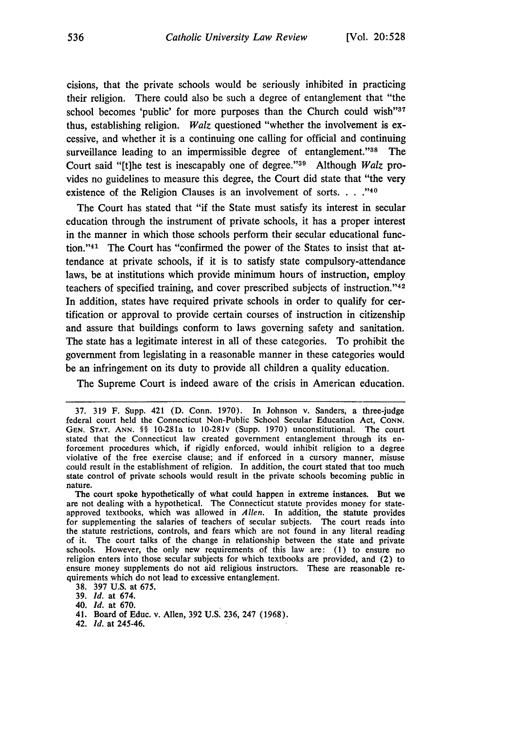cisions, that the private schools would be seriously inhibited in practicing their religion. There could also be such a degree of entanglement that "the school becomes 'public' for more purposes than the Church could wish"<sup>37</sup> thus, establishing religion. *Walz* questioned "whether the involvement is excessive, and whether it is a continuing one calling for official and continuing surveillance leading to an impermissible degree of entanglement."<sup>38</sup> The Court said "[t]he test is inescapably one of degree."<sup>39</sup> Although *Walz* provides no guidelines to measure this degree, the Court did state that "the very existence of the Religion Clauses is an involvement of sorts. **.. .**

The Court has stated that "if the State must satisfy its interest in secular education through the instrument of private schools, it has a proper interest in the manner in which those schools perform their secular educational function."'41 The Court has "confirmed the power of the States to insist that attendance at private schools, if it is to satisfy state compulsory-attendance laws, be at institutions which provide minimum hours of instruction, employ teachers of specified training, and cover prescribed subjects of instruction."<sup>42</sup> In addition, states have required private schools in order to qualify for certification or approval to provide certain courses of instruction in citizenship and assure that buildings conform to laws governing safety and sanitation. The state has a legitimate interest in all of these categories. To prohibit the government from legislating in a reasonable manner in these categories would be an infringement on its duty to provide all children a quality education.

The Supreme Court is indeed aware of the crisis in American education.

The court spoke hypothetically of what could happen in extreme instances. But we are not dealing with a hypothetical. The Connecticut statute provides money for stateapproved textbooks, which was allowed in *Allen.* In addition, the statute provides for supplementing the salaries of teachers of secular subjects. The court reads into the statute restrictions, controls, and fears which are not found in any literal reading of it. The court talks of the change in relationship between the state and private schools. However, the only new requirements of this law are: (1) to ensure no religion enters into those secular subjects for which textbooks are provided, and (2) to ensure money supplements do not aid religious instructors. These are reasonable requirements which do not lead to excessive entanglement.

38. 397 U.S. at 675.

39. *Id.* at 674.

40. *id.* at 670.

- 41. Board of Educ. v. Allen, 392 U.S. 236, 247 (1968).
- 42. *Id.* at 245-46.

<sup>37. 319</sup> F. Supp. 421 (D. Conn. 1970). In Johnson v. Sanders, a three-judge federal court held the Connecticut Non-Public School Secular Education Act, CONN. **GEN. STAT. ANN.** §§ 10-281a to 10-281v (Supp. 1970) unconstitutional. The court stated that the Connecticut law created government entanglement through its enforcement procedures which, if rigidly enforced, would inhibit religion to a degree violative of the free exercise clause; and if enforced in a cursory manner, misuse could result in the establishment of religion. In addition, the court stated that too much state control of private schools would result in the private schools becoming public in nature.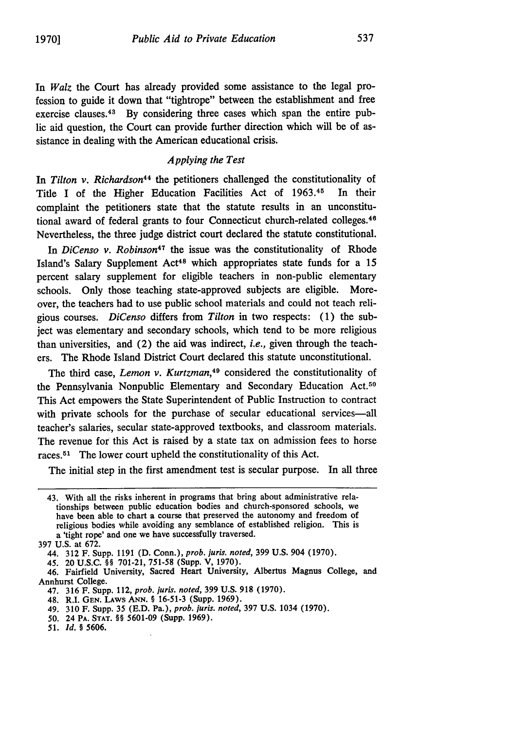In *Walz* the Court has already provided some assistance to the legal profession to guide it down that "tightrope" between the establishment and free exercise clauses.<sup>43</sup> By considering three cases which span the entire public aid question, the Court can provide further direction which will be of assistance in dealing with the American educational crisis.

#### *Applying the Test*

In *Tilton v. Richardson44* the petitioners challenged the constitutionality of Title **I** of the Higher Education Facilities Act of **1963. <sup>4</sup> "** In their complaint the petitioners state that the statute results in an unconstitutional award of federal grants to four Connecticut church-related colleges. <sup>46</sup> Nevertheless, the three judge district court declared the statute constitutional.

In *DiCenso v. Robinson<sup>47</sup>* the issue was the constitutionality of Rhode Island's Salary Supplement Act<sup>48</sup> which appropriates state funds for a 15 percent salary supplement for eligible teachers in non-public elementary schools. Only those teaching state-approved subjects are eligible. Moreover, the teachers **had** to use public school materials and could not teach religious courses. *DiCenso* differs from *Tilton* in two respects: **(1)** the subject was elementary and secondary schools, which tend to be more religious than universities, and (2) the aid was indirect, *i.e.,* given through the teachers. The Rhode Island District Court declared this statute unconstitutional.

The third case, *Lemon v. Kurtzman*,<sup>49</sup> considered the constitutionality of the Pennsylvania Nonpublic Elementary and Secondary Education Act.50 This Act empowers the State Superintendent of Public Instruction to contract with private schools for the purchase of secular educational services-all teacher's salaries, secular state-approved textbooks, and classroom materials. The revenue for this Act is raised **by** a state tax on admission fees to horse races.<sup>51</sup> The lower court upheld the constitutionality of this Act.

The initial step in the first amendment test is secular purpose. In all three

<sup>43.</sup> With all the risks inherent in programs that bring about administrative relationships between public education bodies and church-sponsored schools, we have been able to chart a course that preserved the autonomy and freedom of religious bodies while avoiding any semblance of established religion. This is a 'tight rope' and one we have successfully traversed.

**<sup>397</sup> U.S.** at **672.**

<sup>44.</sup> **312** F. Supp. **1191 (D.** Conn.), *prob. juris. noted,* **399 U.S.** 904 **(1970).**

<sup>45. 20</sup> **U.S.C.** §§ **701-21, 751-58** (Supp. V, **1970).**

<sup>46.</sup> Fairfield University, Sacred Heart University, Albertus Magnus College, and Annhurst College.

<sup>47.</sup> **316** F. Supp. 112, *prob. juris. noted,* **399 U.S. 918 (1970).**

<sup>48.</sup> R.I. **GEN.** LAws **ANN.** § **16-51-3** (Supp. **1969).**

<sup>49.</sup> **310** F. Supp. **35 (E.D.** Pa.), *prob. juris. noted,* **397 U.S.** 1034 **(1970).**

**<sup>50. 24</sup> PA. STAT. §§ 5601-09 (Supp. 1969). 51.** *Id. §* **5606.**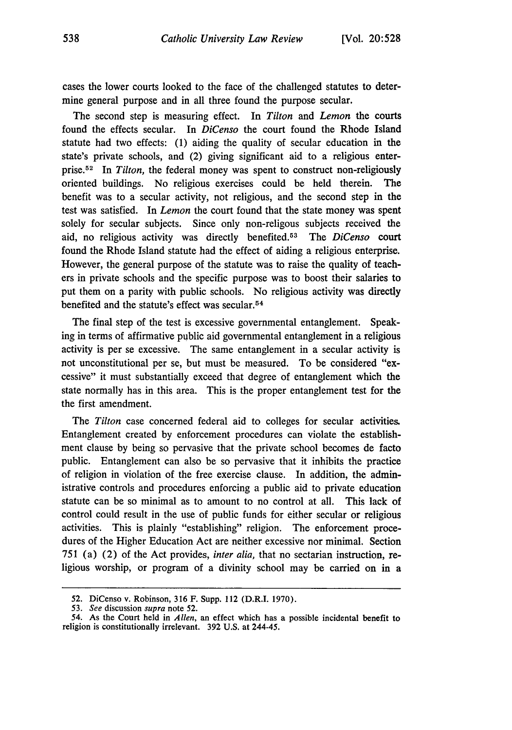cases the lower courts looked to the face of the challenged statutes to determine general purpose and in all three found the purpose secular.

The second step is measuring effect. In *Tilton and Lemon* the courts found the effects secular. In *DiCenso* the court found the Rhode Island statute had two effects: (1) aiding the quality of secular education in the state's private schools, and (2) giving significant aid to a religious enterprise.52 In *Tilton,* the federal money was spent to construct non-religiously oriented buildings. No religious exercises could be held therein. The benefit was to a secular activity, not religious, and the second step in the test was satisfied. In *Lemon* the court found that the state money was spent solely for secular subjects. Since only non-religous subjects received the aid, no religious activity was directly benefited. 53 The *DiCenso* court found the Rhode Island statute had the effect of aiding a religious enterprise. However, the general purpose of the statute was to raise the quality of teachers in private schools and the specific purpose was to boost their salaries to put them on a parity with public schools. No religious activity was directly benefited and the statute's effect was secular. <sup>54</sup>

The final step of the test is excessive governmental entanglement. Speaking in terms of affirmative public aid governmental entanglement in a religious activity is per se excessive. The same entanglement in a secular activity is not unconstitutional per se, but must be measured. To be considered "excessive" it must substantially exceed that degree of entanglement which the state normally has in this area. This is the proper entanglement test for the the first amendment.

The *Tilton* case concerned federal aid to colleges for secular activities Entanglement created by enforcement procedures can violate the establishment clause by being so pervasive that the private school becomes de facto public. Entanglement can also be so pervasive that it inhibits the practice of religion in violation of the free exercise clause. In addition, the administrative controls and procedures enforcing a public aid to private education statute can be so minimal as to amount to no control at all. This lack of control could result in the use of public funds for either secular or religious activities. This is plainly "establishing" religion. The enforcement procedures of the Higher Education Act are neither excessive nor minimal. Section 751 (a) (2) of the Act provides, *inter alia,* that no sectarian instruction, religious worship, or program of a divinity school may be carried on in a

<sup>52.</sup> DiCenso v. Robinson, 316 F. Supp. 112 (D.R.I. 1970).

*<sup>53.</sup> See* discussion *supra* note 52.

<sup>54.</sup> As the Court held in *Allen,* an effect which has a possible incidental benefit to religion is constitutionally irrelevant. 392 U.S. at 244-45.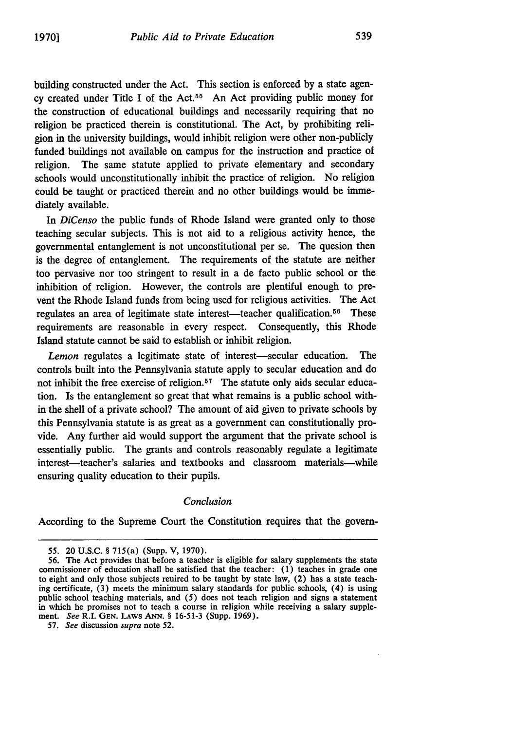building constructed under the Act. This section is enforced by a state agency created under Title I of the Act.<sup>55</sup> An Act providing public money for the construction of educational buildings and necessarily requiring that no religion be practiced therein is constitutional. The Act, by prohibiting religion in the university buildings, would inhibit religion were other non-publicly funded buildings not available on campus for the instruction and practice of religion. The same statute applied to private elementary and secondary schools would unconstitutionally inhibit the practice of religion. No religion could be taught or practiced therein and no other buildings would be immediately available.

In *DiCenso* the public funds of Rhode Island were granted only to those teaching secular subjects. This is not aid to a religious activity hence, the governmental entanglement is not unconstitutional per se. The quesion then is the degree of entanglement. The requirements of the statute are neither too pervasive nor too stringent to result in a de facto public school or the inhibition of religion. However, the controls are plentiful enough to prevent the Rhode Island funds from being used for religious activities. The Act regulates an area of legitimate state interest—teacher qualification.<sup>56</sup> These requirements are reasonable in every respect. Consequently, this Rhode Island statute cannot be said to establish or inhibit religion.

Lemon regulates a legitimate state of interest—secular education. The controls built into the Pennsylvania statute apply to secular education and do not inhibit the free exercise of religion.<sup>57</sup> The statute only aids secular education. Is the entanglement so great that what remains is a public school within the shell of a private school? The amount of aid given to private schools by this Pennsylvania statute is as great as a government can constitutionally provide. Any further aid would support the argument that the private school is essentially public. The grants and controls reasonably regulate a legitimate interest—teacher's salaries and textbooks and classroom materials—while ensuring quality education to their pupils.

#### *Conclusion*

According to the Supreme Court the Constitution requires that the govern-

<sup>55. 20</sup> U.S.C. § 715(a) (Supp. V, 1970).

<sup>56.</sup> The Act provides that before a teacher is eligible for salary supplements the state commissioner of education shall be satisfied that the teacher: (1) teaches in grade one to eight and only those subjects reuired to be taught by state law, (2) has a state teaching certificate, (3) meets the minimum salary standards for public schools, (4) is using public school teaching materials, and (5) does not teach religion and signs a statement in which he promises not to teach a course in religion while receiving a salary supplement. *See* R.I. **GEN.** LAWS ANN. *§* 16-51-3 (Supp. 1969).

*<sup>57.</sup> See* discussion *supra* note 52.